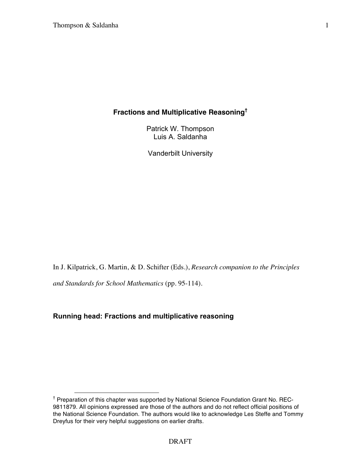# **Fractions and Multiplicative Reasoning†**

Patrick W. Thompson Luis A. Saldanha

Vanderbilt University

In J. Kilpatrick, G. Martin, & D. Schifter (Eds.), *Research companion to the Principles* 

*and Standards for School Mathematics* (pp. 95-114).

# **Running head: Fractions and multiplicative reasoning**

<sup>&</sup>lt;sup>†</sup> Preparation of this chapter was supported by National Science Foundation Grant No. REC-9811879. All opinions expressed are those of the authors and do not reflect official positions of the National Science Foundation. The authors would like to acknowledge Les Steffe and Tommy Dreyfus for their very helpful suggestions on earlier drafts.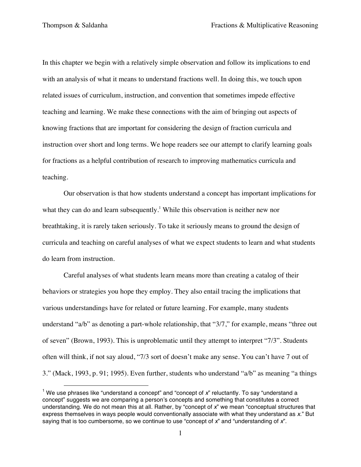In this chapter we begin with a relatively simple observation and follow its implications to end with an analysis of what it means to understand fractions well. In doing this, we touch upon related issues of curriculum, instruction, and convention that sometimes impede effective teaching and learning. We make these connections with the aim of bringing out aspects of knowing fractions that are important for considering the design of fraction curricula and instruction over short and long terms. We hope readers see our attempt to clarify learning goals for fractions as a helpful contribution of research to improving mathematics curricula and teaching.

Our observation is that how students understand a concept has important implications for what they can do and learn subsequently.<sup>1</sup> While this observation is neither new nor breathtaking, it is rarely taken seriously. To take it seriously means to ground the design of curricula and teaching on careful analyses of what we expect students to learn and what students do learn from instruction.

Careful analyses of what students learn means more than creating a catalog of their behaviors or strategies you hope they employ. They also entail tracing the implications that various understandings have for related or future learning. For example, many students understand "a/b" as denoting a part-whole relationship, that "3/7," for example, means "three out of seven" (Brown, 1993). This is unproblematic until they attempt to interpret "7/3". Students often will think, if not say aloud, "7/3 sort of doesn't make any sense. You can't have 7 out of 3." (Mack, 1993, p. 91; 1995). Even further, students who understand "a/b" as meaning "a things

<sup>&</sup>lt;sup>1</sup> We use phrases like "understand a concept" and "concept of x" reluctantly. To say "understand a concept" suggests we are comparing a person's concepts and something that constitutes a correct understanding. We do not mean this at all. Rather, by "concept of *x*" we mean "conceptual structures that express themselves in ways people would conventionally associate with what they understand as *x*." But saying that is too cumbersome, so we continue to use "concept of *x*" and "understanding of *x*".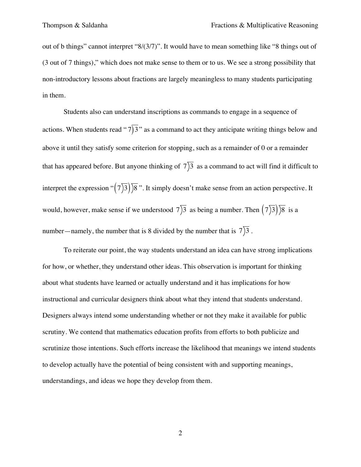out of b things" cannot interpret "8/(3/7)". It would have to mean something like "8 things out of (3 out of 7 things)," which does not make sense to them or to us. We see a strong possibility that non-introductory lessons about fractions are largely meaningless to many students participating in them.

Students also can understand inscriptions as commands to engage in a sequence of actions. When students read " $7$ ) 3" as a command to act they anticipate writing things below and  $\overline{c}$ above it until they satisfy some criterion for stopping, such as a remainder of 0 or a remainder that has appeared before. But anyone thinking of  $7$ ) as a command to act will find it difficult to interpret the expression " $(7)$ 3)  $\sqrt{8}$ ". It simply doesn't make sense from an action perspective. It would, however, make sense if we understood  $7\overline{)3}$  as being a number. Then  $(7\overline{)3})\overline{)8}$  is a number—namely, the number that is 8 divided by the number that is  $7\overline{)3}$ .

To reiterate our point, the way students understand an idea can have strong implications for how, or whether, they understand other ideas. This observation is important for thinking about what students have learned or actually understand and it has implications for how instructional and curricular designers think about what they intend that students understand. Designers always intend some understanding whether or not they make it available for public scrutiny. We contend that mathematics education profits from efforts to both publicize and scrutinize those intentions. Such efforts increase the likelihood that meanings we intend students to develop actually have the potential of being consistent with and supporting meanings, understandings, and ideas we hope they develop from them.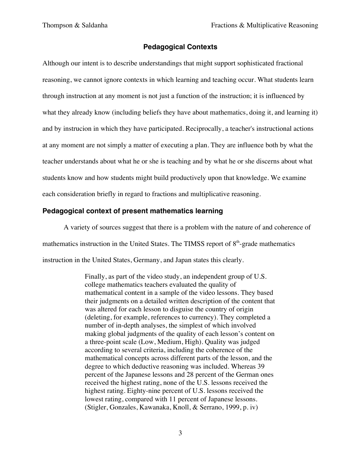# **Pedagogical Contexts**

Although our intent is to describe understandings that might support sophisticated fractional reasoning, we cannot ignore contexts in which learning and teaching occur. What students learn through instruction at any moment is not just a function of the instruction; it is influenced by what they already know (including beliefs they have about mathematics, doing it, and learning it) and by instrucion in which they have participated. Reciprocally, a teacher's instructional actions at any moment are not simply a matter of executing a plan. They are influence both by what the teacher understands about what he or she is teaching and by what he or she discerns about what students know and how students might build productively upon that knowledge. We examine each consideration briefly in regard to fractions and multiplicative reasoning.

### **Pedagogical context of present mathematics learning**

A variety of sources suggest that there is a problem with the nature of and coherence of mathematics instruction in the United States. The TIMSS report of  $8<sup>th</sup>$ -grade mathematics instruction in the United States, Germany, and Japan states this clearly.

> Finally, as part of the video study, an independent group of U.S. college mathematics teachers evaluated the quality of mathematical content in a sample of the video lessons. They based their judgments on a detailed written description of the content that was altered for each lesson to disguise the country of origin (deleting, for example, references to currency). They completed a number of in-depth analyses, the simplest of which involved making global judgments of the quality of each lesson's content on a three-point scale (Low, Medium, High). Quality was judged according to several criteria, including the coherence of the mathematical concepts across different parts of the lesson, and the degree to which deductive reasoning was included. Whereas 39 percent of the Japanese lessons and 28 percent of the German ones received the highest rating, none of the U.S. lessons received the highest rating. Eighty-nine percent of U.S. lessons received the lowest rating, compared with 11 percent of Japanese lessons. (Stigler, Gonzales, Kawanaka, Knoll, & Serrano, 1999, p. iv)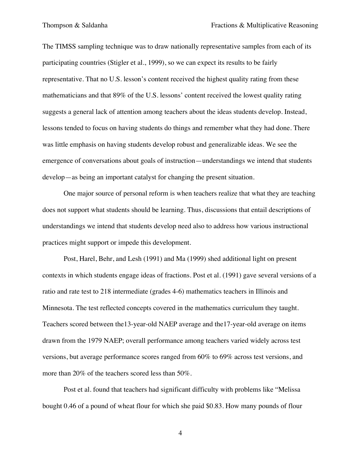The TIMSS sampling technique was to draw nationally representative samples from each of its participating countries (Stigler et al., 1999), so we can expect its results to be fairly representative. That no U.S. lesson's content received the highest quality rating from these mathematicians and that 89% of the U.S. lessons' content received the lowest quality rating suggests a general lack of attention among teachers about the ideas students develop. Instead, lessons tended to focus on having students do things and remember what they had done. There was little emphasis on having students develop robust and generalizable ideas. We see the emergence of conversations about goals of instruction—understandings we intend that students develop—as being an important catalyst for changing the present situation.

One major source of personal reform is when teachers realize that what they are teaching does not support what students should be learning. Thus, discussions that entail descriptions of understandings we intend that students develop need also to address how various instructional practices might support or impede this development.

Post, Harel, Behr, and Lesh (1991) and Ma (1999) shed additional light on present contexts in which students engage ideas of fractions. Post et al. (1991) gave several versions of a ratio and rate test to 218 intermediate (grades 4-6) mathematics teachers in Illinois and Minnesota. The test reflected concepts covered in the mathematics curriculum they taught. Teachers scored between the13-year-old NAEP average and the17-year-old average on items drawn from the 1979 NAEP; overall performance among teachers varied widely across test versions, but average performance scores ranged from 60% to 69% across test versions, and more than 20% of the teachers scored less than 50%.

Post et al. found that teachers had significant difficulty with problems like "Melissa bought 0.46 of a pound of wheat flour for which she paid \$0.83. How many pounds of flour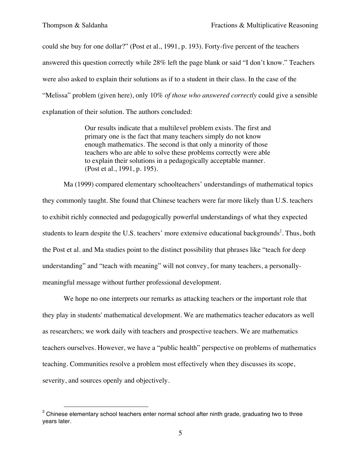could she buy for one dollar?" (Post et al., 1991, p. 193). Forty-five percent of the teachers answered this question correctly while 28% left the page blank or said "I don't know." Teachers were also asked to explain their solutions as if to a student in their class. In the case of the "Melissa" problem (given here), only 10% *of those who answered correctly* could give a sensible explanation of their solution. The authors concluded:

> Our results indicate that a multilevel problem exists. The first and primary one is the fact that many teachers simply do not know enough mathematics. The second is that only a minority of those teachers who are able to solve these problems correctly were able to explain their solutions in a pedagogically acceptable manner. (Post et al., 1991, p. 195).

Ma (1999) compared elementary schoolteachers' understandings of mathematical topics they commonly taught. She found that Chinese teachers were far more likely than U.S. teachers to exhibit richly connected and pedagogically powerful understandings of what they expected students to learn despite the U.S. teachers' more extensive educational backgrounds<sup>2</sup>. Thus, both the Post et al. and Ma studies point to the distinct possibility that phrases like "teach for deep understanding" and "teach with meaning" will not convey, for many teachers, a personallymeaningful message without further professional development.

We hope no one interprets our remarks as attacking teachers or the important role that they play in students' mathematical development. We are mathematics teacher educators as well as researchers; we work daily with teachers and prospective teachers. We are mathematics teachers ourselves. However, we have a "public health" perspective on problems of mathematics teaching. Communities resolve a problem most effectively when they discusses its scope, severity, and sources openly and objectively.

 $2$  Chinese elementary school teachers enter normal school after ninth grade, graduating two to three years later.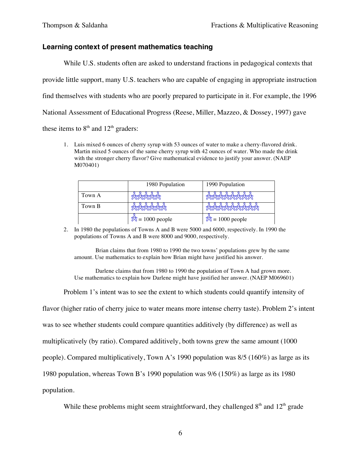## **Learning context of present mathematics teaching**

While U.S. students often are asked to understand fractions in pedagogical contexts that provide little support, many U.S. teachers who are capable of engaging in appropriate instruction find themselves with students who are poorly prepared to participate in it. For example, the 1996 National Assessment of Educational Progress (Reese, Miller, Mazzeo, & Dossey, 1997) gave these items to  $8<sup>th</sup>$  and  $12<sup>th</sup>$  graders:

1. Luis mixed 6 ounces of cherry syrup with 53 ounces of water to make a cherry-flavored drink. Martin mixed 5 ounces of the same cherry syrup with 42 ounces of water. Who made the drink with the stronger cherry flavor? Give mathematical evidence to justify your answer. (NAEP M070401)

|        | 1980 Population              | 1990 Population                   |
|--------|------------------------------|-----------------------------------|
| Town A | <b>グロウスマスマスマス</b>            | 15151515151515                    |
| Town B | 大地震の大きな                      | <b>BERTH REARING STATES</b>       |
|        | $\frac{1}{20}$ = 1000 people | $\hat{\mathcal{B}} = 1000$ people |

2. In 1980 the populations of Towns A and B were 5000 and 6000, respectively. In 1990 the populations of Towns A and B were 8000 and 9000, respectively.

Brian claims that from 1980 to 1990 the two towns' populations grew by the same amount. Use mathematics to explain how Brian might have justified his answer.

Darlene claims that from 1980 to 1990 the population of Town A had grown more. Use mathematics to explain how Darlene might have justified her answer. (NAEP M069601)

Problem 1's intent was to see the extent to which students could quantify intensity of

flavor (higher ratio of cherry juice to water means more intense cherry taste). Problem 2's intent was to see whether students could compare quantities additively (by difference) as well as multiplicatively (by ratio). Compared additively, both towns grew the same amount (1000 people). Compared multiplicatively, Town A's 1990 population was 8/5 (160%) as large as its 1980 population, whereas Town B's 1990 population was 9/6 (150%) as large as its 1980 population.

While these problems might seem straightforward, they challenged  $8<sup>th</sup>$  and  $12<sup>th</sup>$  grade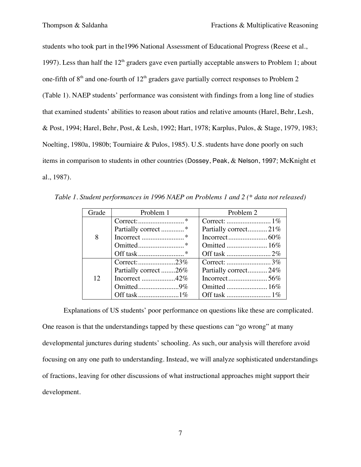students who took part in the1996 National Assessment of Educational Progress (Reese et al., 1997). Less than half the  $12<sup>th</sup>$  graders gave even partially acceptable answers to Problem 1; about one-fifth of  $8<sup>th</sup>$  and one-fourth of  $12<sup>th</sup>$  graders gave partially correct responses to Problem 2 (Table 1). NAEP students' performance was consistent with findings from a long line of studies that examined students' abilities to reason about ratios and relative amounts (Harel, Behr, Lesh, & Post, 1994; Harel, Behr, Post, & Lesh, 1992; Hart, 1978; Karplus, Pulos, & Stage, 1979, 1983; Noelting, 1980a, 1980b; Tourniaire & Pulos, 1985). U.S. students have done poorly on such items in comparison to students in other countries (Dossey, Peak, & Nelson, 1997; McKnight et al., 1987).

*Table 1. Student performances in 1996 NAEP on Problems 1 and 2 (\* data not released)*

| Grade | Problem 1                                      | Problem 2            |
|-------|------------------------------------------------|----------------------|
| 8     | $Correct: \dots \dots \dots \dots \dots \dots$ |                      |
|       |                                                | Partially correct21% |
|       |                                                |                      |
|       |                                                | Omitted  16%         |
|       |                                                |                      |
| 12    |                                                |                      |
|       | Partially correct26%                           | Partially correct24% |
|       |                                                |                      |
|       |                                                |                      |
|       |                                                |                      |

Explanations of US students' poor performance on questions like these are complicated. One reason is that the understandings tapped by these questions can "go wrong" at many developmental junctures during students' schooling. As such, our analysis will therefore avoid focusing on any one path to understanding. Instead, we will analyze sophisticated understandings of fractions, leaving for other discussions of what instructional approaches might support their development.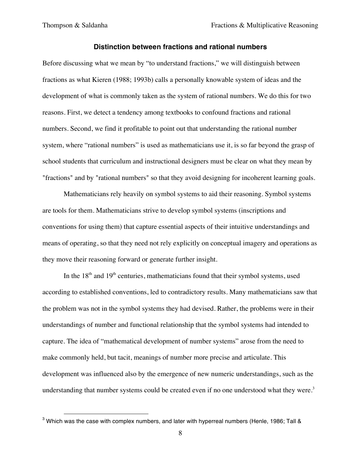#### **Distinction between fractions and rational numbers**

Before discussing what we mean by "to understand fractions," we will distinguish between fractions as what Kieren (1988; 1993b) calls a personally knowable system of ideas and the development of what is commonly taken as the system of rational numbers. We do this for two reasons. First, we detect a tendency among textbooks to confound fractions and rational numbers. Second, we find it profitable to point out that understanding the rational number system, where "rational numbers" is used as mathematicians use it, is so far beyond the grasp of school students that curriculum and instructional designers must be clear on what they mean by "fractions" and by "rational numbers" so that they avoid designing for incoherent learning goals.

Mathematicians rely heavily on symbol systems to aid their reasoning. Symbol systems are tools for them. Mathematicians strive to develop symbol systems (inscriptions and conventions for using them) that capture essential aspects of their intuitive understandings and means of operating, so that they need not rely explicitly on conceptual imagery and operations as they move their reasoning forward or generate further insight.

In the  $18<sup>th</sup>$  and  $19<sup>th</sup>$  centuries, mathematicians found that their symbol systems, used according to established conventions, led to contradictory results. Many mathematicians saw that the problem was not in the symbol systems they had devised. Rather, the problems were in their understandings of number and functional relationship that the symbol systems had intended to capture. The idea of "mathematical development of number systems" arose from the need to make commonly held, but tacit, meanings of number more precise and articulate. This development was influenced also by the emergence of new numeric understandings, such as the understanding that number systems could be created even if no one understood what they were. $3$ 

 $3$  Which was the case with complex numbers, and later with hyperreal numbers (Henle, 1986; Tall &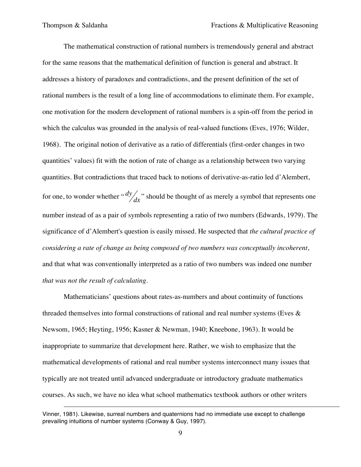$\overline{a}$ 

The mathematical construction of rational numbers is tremendously general and abstract for the same reasons that the mathematical definition of function is general and abstract. It addresses a history of paradoxes and contradictions, and the present definition of the set of rational numbers is the result of a long line of accommodations to eliminate them. For example, one motivation for the modern development of rational numbers is a spin-off from the period in which the calculus was grounded in the analysis of real-valued functions (Eves, 1976; Wilder, 1968). The original notion of derivative as a ratio of differentials (first-order changes in two quantities' values) fit with the notion of rate of change as a relationship between two varying quantities. But contradictions that traced back to notions of derivative-as-ratio led d'Alembert, for one, to wonder whether " $\frac{dy}{dx}$ " should be thought of as merely a symbol that represents one significance of d'Alembert's question is easily missed. He suspected that *the cultural practice of* number instead of as a pair of symbols representing a ratio of two numbers (Edwards, 1979). The *considering a rate of change as being composed of two numbers was conceptually incoherent*, and that what was conventionally interpreted as a ratio of two numbers was indeed one number *that was not the result of calculating*.

Mathematicians' questions about rates-as-numbers and about continuity of functions threaded themselves into formal constructions of rational and real number systems (Eves  $\&$ Newsom, 1965; Heyting, 1956; Kasner & Newman, 1940; Kneebone, 1963). It would be inappropriate to summarize that development here. Rather, we wish to emphasize that the mathematical developments of rational and real number systems interconnect many issues that typically are not treated until advanced undergraduate or introductory graduate mathematics courses. As such, we have no idea what school mathematics textbook authors or other writers

Vinner, 1981). Likewise, surreal numbers and quaternions had no immediate use except to challenge prevailing intuitions of number systems (Conway & Guy, 1997).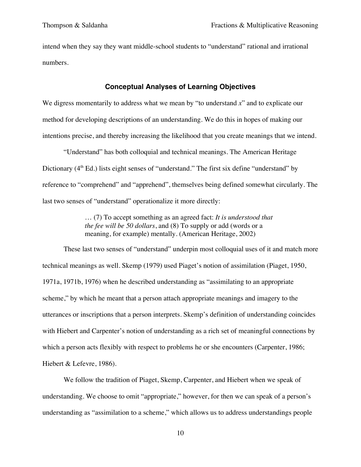intend when they say they want middle-school students to "understand" rational and irrational numbers.

#### **Conceptual Analyses of Learning Objectives**

We digress momentarily to address what we mean by "to understand x" and to explicate our method for developing descriptions of an understanding. We do this in hopes of making our intentions precise, and thereby increasing the likelihood that you create meanings that we intend.

"Understand" has both colloquial and technical meanings. The American Heritage Dictionary  $(4<sup>th</sup> Ed.)$  lists eight senses of "understand." The first six define "understand" by reference to "comprehend" and "apprehend", themselves being defined somewhat circularly. The last two senses of "understand" operationalize it more directly:

> … (7) To accept something as an agreed fact: *It is understood that the fee will be 50 dollars*, and (8) To supply or add (words or a meaning, for example) mentally. (American Heritage, 2002)

These last two senses of "understand" underpin most colloquial uses of it and match more technical meanings as well. Skemp (1979) used Piaget's notion of assimilation (Piaget, 1950, 1971a, 1971b, 1976) when he described understanding as "assimilating to an appropriate scheme," by which he meant that a person attach appropriate meanings and imagery to the utterances or inscriptions that a person interprets. Skemp's definition of understanding coincides with Hiebert and Carpenter's notion of understanding as a rich set of meaningful connections by which a person acts flexibly with respect to problems he or she encounters (Carpenter, 1986; Hiebert & Lefevre, 1986).

We follow the tradition of Piaget, Skemp, Carpenter, and Hiebert when we speak of understanding. We choose to omit "appropriate," however, for then we can speak of a person's understanding as "assimilation to a scheme," which allows us to address understandings people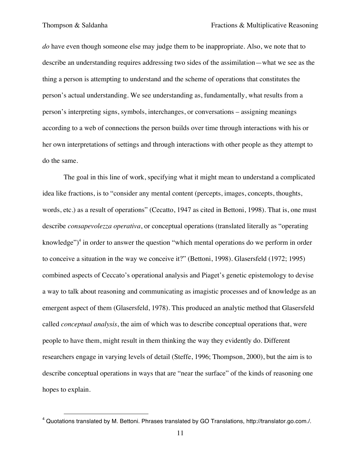*do* have even though someone else may judge them to be inappropriate. Also, we note that to describe an understanding requires addressing two sides of the assimilation—what we see as the thing a person is attempting to understand and the scheme of operations that constitutes the person's actual understanding. We see understanding as, fundamentally, what results from a person's interpreting signs, symbols, interchanges, or conversations – assigning meanings according to a web of connections the person builds over time through interactions with his or her own interpretations of settings and through interactions with other people as they attempt to do the same.

The goal in this line of work, specifying what it might mean to understand a complicated idea like fractions, is to "consider any mental content (percepts, images, concepts, thoughts, words, etc.) as a result of operations" (Cecatto, 1947 as cited in Bettoni, 1998). That is, one must describe *consapevolezza operativa*, or conceptual operations (translated literally as "operating knowledge")<sup>4</sup> in order to answer the question "which mental operations do we perform in order to conceive a situation in the way we conceive it?" (Bettoni, 1998). Glasersfeld (1972; 1995) combined aspects of Ceccato's operational analysis and Piaget's genetic epistemology to devise a way to talk about reasoning and communicating as imagistic processes and of knowledge as an emergent aspect of them (Glasersfeld, 1978). This produced an analytic method that Glasersfeld called *conceptual analysis*, the aim of which was to describe conceptual operations that, were people to have them, might result in them thinking the way they evidently do. Different researchers engage in varying levels of detail (Steffe, 1996; Thompson, 2000), but the aim is to describe conceptual operations in ways that are "near the surface" of the kinds of reasoning one hopes to explain.

<sup>4</sup> Quotations translated by M. Bettoni. Phrases translated by GO Translations, http://translator.go.com./.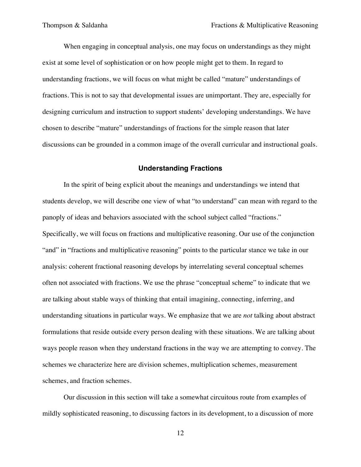When engaging in conceptual analysis, one may focus on understandings as they might exist at some level of sophistication or on how people might get to them. In regard to understanding fractions, we will focus on what might be called "mature" understandings of fractions. This is not to say that developmental issues are unimportant. They are, especially for designing curriculum and instruction to support students' developing understandings. We have chosen to describe "mature" understandings of fractions for the simple reason that later discussions can be grounded in a common image of the overall curricular and instructional goals.

#### **Understanding Fractions**

In the spirit of being explicit about the meanings and understandings we intend that students develop, we will describe one view of what "to understand" can mean with regard to the panoply of ideas and behaviors associated with the school subject called "fractions." Specifically, we will focus on fractions and multiplicative reasoning. Our use of the conjunction "and" in "fractions and multiplicative reasoning" points to the particular stance we take in our analysis: coherent fractional reasoning develops by interrelating several conceptual schemes often not associated with fractions. We use the phrase "conceptual scheme" to indicate that we are talking about stable ways of thinking that entail imagining, connecting, inferring, and understanding situations in particular ways. We emphasize that we are *not* talking about abstract formulations that reside outside every person dealing with these situations. We are talking about ways people reason when they understand fractions in the way we are attempting to convey. The schemes we characterize here are division schemes, multiplication schemes, measurement schemes, and fraction schemes.

Our discussion in this section will take a somewhat circuitous route from examples of mildly sophisticated reasoning, to discussing factors in its development, to a discussion of more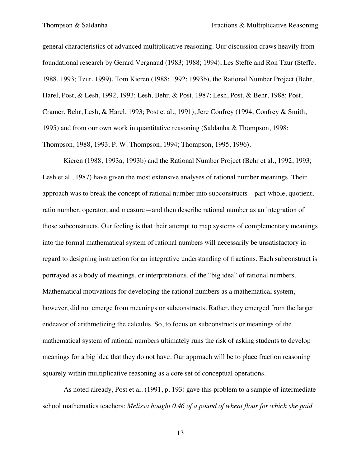general characteristics of advanced multiplicative reasoning. Our discussion draws heavily from foundational research by Gerard Vergnaud (1983; 1988; 1994), Les Steffe and Ron Tzur (Steffe, 1988, 1993; Tzur, 1999), Tom Kieren (1988; 1992; 1993b), the Rational Number Project (Behr, Harel, Post, & Lesh, 1992, 1993; Lesh, Behr, & Post, 1987; Lesh, Post, & Behr, 1988; Post, Cramer, Behr, Lesh, & Harel, 1993; Post et al., 1991), Jere Confrey (1994; Confrey & Smith, 1995) and from our own work in quantitative reasoning (Saldanha & Thompson, 1998; Thompson, 1988, 1993; P. W. Thompson, 1994; Thompson, 1995, 1996).

Kieren (1988; 1993a; 1993b) and the Rational Number Project (Behr et al., 1992, 1993; Lesh et al., 1987) have given the most extensive analyses of rational number meanings. Their approach was to break the concept of rational number into subconstructs—part-whole, quotient, ratio number, operator, and measure—and then describe rational number as an integration of those subconstructs. Our feeling is that their attempt to map systems of complementary meanings into the formal mathematical system of rational numbers will necessarily be unsatisfactory in regard to designing instruction for an integrative understanding of fractions. Each subconstruct is portrayed as a body of meanings, or interpretations, of the "big idea" of rational numbers. Mathematical motivations for developing the rational numbers as a mathematical system, however, did not emerge from meanings or subconstructs. Rather, they emerged from the larger endeavor of arithmetizing the calculus. So, to focus on subconstructs or meanings of the mathematical system of rational numbers ultimately runs the risk of asking students to develop meanings for a big idea that they do not have. Our approach will be to place fraction reasoning squarely within multiplicative reasoning as a core set of conceptual operations.

As noted already, Post et al. (1991, p. 193) gave this problem to a sample of intermediate school mathematics teachers: *Melissa bought 0.46 of a pound of wheat flour for which she paid*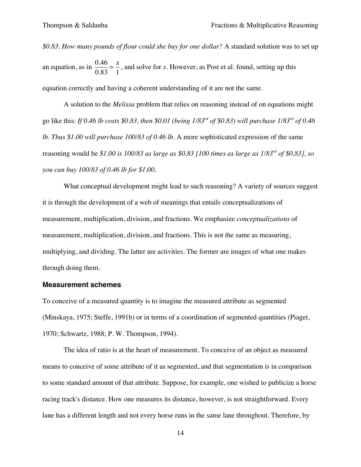*\$0.83. How many pounds of flour could she buy for one dollar?* A standard solution was to set up an equation, as in  $\frac{0.46}{0.83} = \frac{x}{1}$ , and solve for *x*. However, as Post et al. found, setting up this equation correctly and having a coherent understanding of it are not the same.

 A solution to the *Melissa* problem that relies on reasoning instead of on equations might go like this: *If 0.46 lb costs \$0.83, then \$0.01 (being 1/83rd of \$0.83) will purchase 1/83rd of 0.46 lb. Thus \$1.00 will purchase 100/83 of 0.46 lb*. A more sophisticated expression of the same reasoning would be *\$1.00 is 100/83 as large as \$0.83 [100 times as large as 1/83rd of \$0.83], so you can buy 100/83 of 0.46 lb for \$1.00.*

What conceptual development might lead to such reasoning? A variety of sources suggest it is through the development of a web of meanings that entails conceptualizations of measurement, multiplication, division, and fractions. We emphasize *conceptualizations* of measurement, multiplication, division, and fractions. This is not the same as measuring, multiplying, and dividing. The latter are activities. The former are images of what one makes through doing them.

#### **Measurement schemes**

To conceive of a measured quantity is to imagine the measured attribute as segmented (Minskaya, 1975; Steffe, 1991b) or in terms of a coordination of segmented quantities (Piaget, 1970; Schwartz, 1988; P. W. Thompson, 1994).

The idea of ratio is at the heart of measurement. To conceive of an object as measured means to conceive of some attribute of it as segmented, and that segmentation is in comparison to some standard amount of that attribute. Suppose, for example, one wished to publicize a horse racing track's distance. How one measures its distance, however, is not straightforward. Every lane has a different length and not every horse runs in the same lane throughout. Therefore, by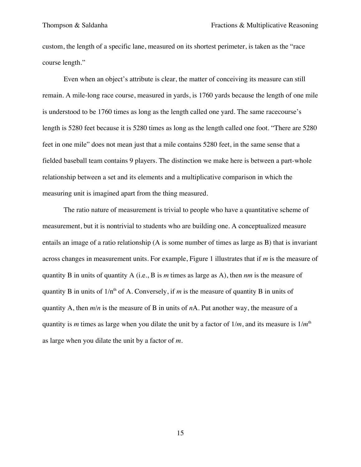custom, the length of a specific lane, measured on its shortest perimeter, is taken as the "race course length."

Even when an object's attribute is clear, the matter of conceiving its measure can still remain. A mile-long race course, measured in yards, is 1760 yards because the length of one mile is understood to be 1760 times as long as the length called one yard. The same racecourse's length is 5280 feet because it is 5280 times as long as the length called one foot. "There are 5280 feet in one mile" does not mean just that a mile contains 5280 feet, in the same sense that a fielded baseball team contains 9 players. The distinction we make here is between a part-whole relationship between a set and its elements and a multiplicative comparison in which the measuring unit is imagined apart from the thing measured.

The ratio nature of measurement is trivial to people who have a quantitative scheme of measurement, but it is nontrivial to students who are building one. A conceptualized measure entails an image of a ratio relationship (A is some number of times as large as B) that is invariant across changes in measurement units. For example, Figure 1 illustrates that if *m* is the measure of quantity B in units of quantity A (i.e., B is *m* times as large as A), then *nm* is the measure of quantity B in units of  $1/n<sup>th</sup>$  of A. Conversely, if *m* is the measure of quantity B in units of quantity A, then *m*/*n* is the measure of B in units of *n*A. Put another way, the measure of a quantity is *m* times as large when you dilate the unit by a factor of 1/*m*, and its measure is 1/*m*th as large when you dilate the unit by a factor of *m*.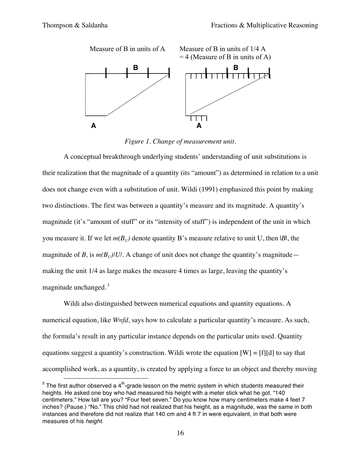

*Figure 1. Change of measurement unit.*

A conceptual breakthrough underlying students' understanding of unit substitutions is their realization that the magnitude of a quantity (its "amount") as determined in relation to a unit does not change even with a substitution of unit. Wildi (1991) emphasized this point by making two distinctions. The first was between a quantity's measure and its magnitude. A quantity's magnitude (it's "amount of stuff" or its "intensity of stuff") is independent of the unit in which you measure it. If we let  $m(B_U)$  denote quantity B's measure relative to unit U, then |*B*|, the magnitude of *B*, is  $m(B_U)/U/L$ . A change of unit does not change the quantity's magnitude making the unit 1/4 as large makes the measure 4 times as large, leaving the quantity's magnitude unchanged. <sup>5</sup>

Wildi also distinguished between numerical equations and quantity equations. A numerical equation, like *W*=*fd*, says how to calculate a particular quantity's measure. As such, the formula's result in any particular instance depends on the particular units used. Quantity equations suggest a quantity's construction. Wildi wrote the equation  $[W] = [f][d]$  to say that accomplished work, as a quantity, is created by applying a force to an object and thereby moving

 $5$  The first author observed a 4<sup>th</sup>-grade lesson on the metric system in which students measured their heights. He asked one boy who had measured his height with a meter stick what he got. "140 centimeters." How tall are you? "Four feet seven." Do you know how many centimeters make 4 feet 7 inches? (Pause.) "No." This child had not realized that his height, as a magnitude, was the same in both instances and therefore did not realize that 140 cm and 4 ft 7 in were equivalent, in that both were measures of his *height*.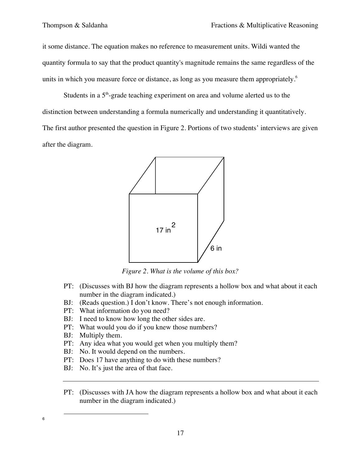it some distance. The equation makes no reference to measurement units. Wildi wanted the quantity formula to say that the product quantity's magnitude remains the same regardless of the units in which you measure force or distance, as long as you measure them appropriately.<sup>6</sup>

Students in a  $5<sup>th</sup>$ -grade teaching experiment on area and volume alerted us to the distinction between understanding a formula numerically and understanding it quantitatively. The first author presented the question in Figure 2. Portions of two students' interviews are given after the diagram.



*Figure 2. What is the volume of this box?*

- PT: (Discusses with BJ how the diagram represents a hollow box and what about it each number in the diagram indicated.)
- BJ: (Reads question.) I don't know. There's not enough information.
- PT: What information do you need?
- BJ: I need to know how long the other sides are.
- PT: What would you do if you knew those numbers?
- BJ: Multiply them.

- PT: Any idea what you would get when you multiply them?
- BJ: No. It would depend on the numbers.
- PT: Does 17 have anything to do with these numbers?
- BJ: No. It's just the area of that face.
- PT: (Discusses with JA how the diagram represents a hollow box and what about it each number in the diagram indicated.)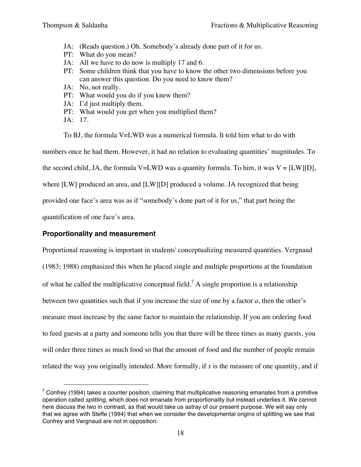- JA: (Reads question.) Oh. Somebody's already done part of it for us.
- PT: What do you mean?
- JA: All we have to do now is multiply 17 and 6.
- PT: Some children think that you have to know the other two dimensions before you can answer this question. Do you need to know them?
- JA: No, not really.
- PT: What would you do if you knew them?
- JA: I'd just multiply them.
- PT: What would you get when you multiplied them?
- JA: 17.

To BJ, the formula V=LWD was a numerical formula. It told him what to do with

numbers once he had them. However, it had no relation to evaluating quantities' magnitudes. To

the second child, JA, the formula V=LWD was a quantity formula. To him, it was V =  $[LW][D]$ ,

where [LW] produced an area, and [LW][D] produced a volume. JA recognized that being

provided one face's area was as if "somebody's done part of it for us," that part being the

quantification of one face's area.

 $\overline{a}$ 

# **Proportionality and measurement**

Proportional reasoning is important in students' conceptualizing measured quantities. Vergnaud (1983; 1988) emphasized this when he placed single and multiple proportions at the foundation of what he called the multiplicative conceptual field.<sup>7</sup> A single proportion is a relationship between two quantities such that if you increase the size of one by a factor *a*, then the other's measure must increase by the same factor to maintain the relationship. If you are ordering food to feed guests at a party and someone tells you that there will be three times as many guests, you will order three times as much food so that the amount of food and the number of people remain related the way you originally intended. More formally, if *x* is the measure of one quantity, and if

 $7$  Confrey (1994) takes a counter position, claiming that multiplicative reasoning emanates from a primitive operation called *splitting*, which does not emanate from proportionality but instead underlies it. We cannot here discuss the two in contrast, as that would take us astray of our present purpose. We will say only that we agree with Steffe (1994) that when we consider the developmental origins of splitting we see that Confrey and Vergnaud are not in opposition.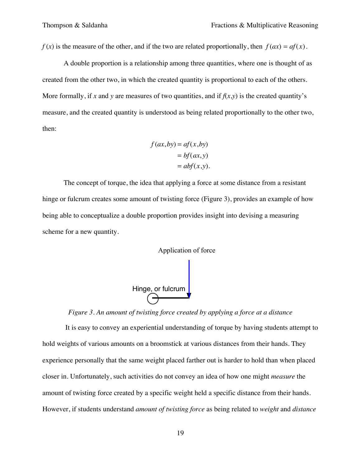*f* (*x*) is the measure of the other, and if the two are related proportionally, then  $f(ax) = af(x)$ .

A double proportion is a relationship among three quantities, where one is thought of as created from the other two, in which the created quantity is proportional to each of the others. More formally, if x and y are measures of two quantities, and if  $f(x,y)$  is the created quantity's measure, and the created quantity is understood as being related proportionally to the other two, then:

$$
f(ax, by) = af(x, by)
$$

$$
= bf(ax, y)
$$

$$
= abf(x, y).
$$

The concept of torque, the idea that applying a force at some distance from a resistant hinge or fulcrum creates some amount of twisting force (Figure 3), provides an example of how being able to conceptualize a double proportion provides insight into devising a measuring scheme for a new quantity.





# *Figure 3. An amount of twisting force created by applying a force at a distance*

It is easy to convey an experiential understanding of torque by having students attempt to hold weights of various amounts on a broomstick at various distances from their hands. They experience personally that the same weight placed farther out is harder to hold than when placed closer in. Unfortunately, such activities do not convey an idea of how one might *measure* the amount of twisting force created by a specific weight held a specific distance from their hands. However, if students understand *amount of twisting force* as being related to *weight* and *distance*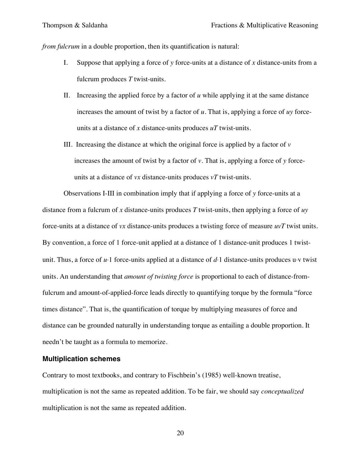*from fulcrum* in a double proportion, then its quantification is natural:

- I. Suppose that applying a force of *y* force-units at a distance of *x* distance-units from a fulcrum produces *T* twist-units.
- II. Increasing the applied force by a factor of *u* while applying it at the same distance increases the amount of twist by a factor of *u.* That is, applying a force of *uy* forceunits at a distance of *x* distance-units produces *uT* twist-units.
- III. Increasing the distance at which the original force is applied by a factor of  $\nu$ increases the amount of twist by a factor of  $\nu$ . That is, applying a force of  $\nu$  forceunits at a distance of *vx* distance-units produces *vT* twist-units.

Observations I-III in combination imply that if applying a force of *y* force-units at a distance from a fulcrum of *x* distance-units produces *T* twist-units, then applying a force of *uy* force-units at a distance of *vx* distance-units produces a twisting force of measure *uvT* twist units. By convention, a force of 1 force-unit applied at a distance of 1 distance-unit produces 1 twistunit. Thus, a force of *u*⋅1 force-units applied at a distance of *d*⋅1 distance-units produces u⋅v twist units. An understanding that *amount of twisting force* is proportional to each of distance-fromfulcrum and amount-of-applied-force leads directly to quantifying torque by the formula "force times distance". That is, the quantification of torque by multiplying measures of force and distance can be grounded naturally in understanding torque as entailing a double proportion. It needn't be taught as a formula to memorize.

#### **Multiplication schemes**

Contrary to most textbooks, and contrary to Fischbein's (1985) well-known treatise, multiplication is not the same as repeated addition. To be fair, we should say *conceptualized* multiplication is not the same as repeated addition.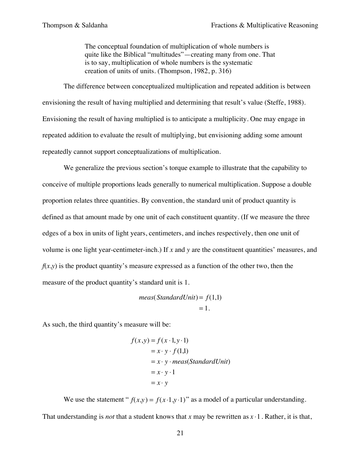The conceptual foundation of multiplication of whole numbers is quite like the Biblical "multitudes"—creating many from one. That is to say, multiplication of whole numbers is the systematic creation of units of units. (Thompson, 1982, p. 316)

The difference between conceptualized multiplication and repeated addition is between envisioning the result of having multiplied and determining that result's value (Steffe, 1988). Envisioning the result of having multiplied is to anticipate a multiplicity. One may engage in repeated addition to evaluate the result of multiplying, but envisioning adding some amount repeatedly cannot support conceptualizations of multiplication.

We generalize the previous section's torque example to illustrate that the capability to conceive of multiple proportions leads generally to numerical multiplication. Suppose a double proportion relates three quantities. By convention, the standard unit of product quantity is defined as that amount made by one unit of each constituent quantity. (If we measure the three edges of a box in units of light years, centimeters, and inches respectively, then one unit of volume is one light year-centimeter-inch.) If *x* and *y* are the constituent quantities' measures, and  $f(x,y)$  is the product quantity's measure expressed as a function of the other two, then the measure of the product quantity's standard unit is 1.

> $meas(StandardUnit) = f(1,1)$  $= 1.$

As such, the third quantity's measure will be:

$$
f(x,y) = f(x \cdot 1, y \cdot 1)
$$
  
=  $x \cdot y \cdot f(1,1)$   
=  $x \cdot y \cdot meas(StandardUnit)$   
=  $x \cdot y \cdot 1$   
=  $x \cdot y$ 

We use the statement " $f(x,y) = f(x \cdot 1, y \cdot 1)$ " as a model of a particular understanding. That understanding is *not* that a student knows that *x* may be rewritten as  $x \cdot 1$ . Rather, it is that,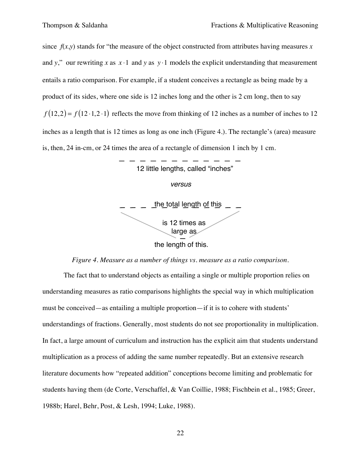since  $f(x,y)$  stands for "the measure of the object constructed from attributes having measures *x* and *y*," our rewriting *x* as  $x \cdot 1$  and *y* as  $y \cdot 1$  models the explicit understanding that measurement entails a ratio comparison. For example, if a student conceives a rectangle as being made by a product of its sides, where one side is 12 inches long and the other is 2 cm long, then to say  $f(12,2) = f(12 \cdot 1,2 \cdot 1)$  reflects the move from thinking of 12 inches as a number of inches to 12 inches as a length that is 12 times as long as one inch (Figure 4.). The rectangle's (area) measure is, then, 24 in-cm, or 24 times the area of a rectangle of dimension 1 inch by 1 cm.



### *Figure 4. Measure as a number of things vs. measure as a ratio comparison.*

The fact that to understand objects as entailing a single or multiple proportion relies on understanding measures as ratio comparisons highlights the special way in which multiplication must be conceived—as entailing a multiple proportion—if it is to cohere with students' understandings of fractions. Generally, most students do not see proportionality in multiplication. In fact, a large amount of curriculum and instruction has the explicit aim that students understand multiplication as a process of adding the same number repeatedly. But an extensive research literature documents how "repeated addition" conceptions become limiting and problematic for students having them (de Corte, Verschaffel, & Van Coillie, 1988; Fischbein et al., 1985; Greer, 1988b; Harel, Behr, Post, & Lesh, 1994; Luke, 1988).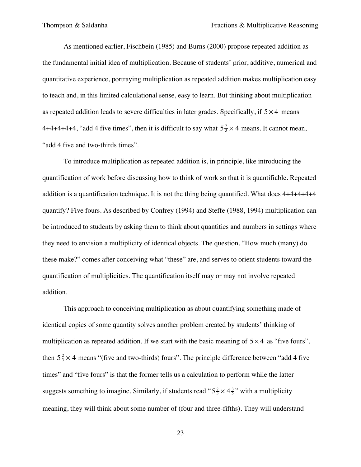As mentioned earlier, Fischbein (1985) and Burns (2000) propose repeated addition as the fundamental initial idea of multiplication. Because of students' prior, additive, numerical and quantitative experience, portraying multiplication as repeated addition makes multiplication easy to teach and, in this limited calculational sense, easy to learn. But thinking about multiplication as repeated addition leads to severe difficulties in later grades. Specifically, if  $5 \times 4$  means 4+4+4+4+4, "add 4 five times", then it is difficult to say what  $5\frac{2}{3} \times 4$  means. It cannot mean, "add 4 five and two-thirds times".

To introduce multiplication as repeated addition is, in principle, like introducing the quantification of work before discussing how to think of work so that it is quantifiable. Repeated addition is a quantification technique. It is not the thing being quantified. What does 4+4+4+4+4 quantify? Five fours. As described by Confrey (1994) and Steffe (1988, 1994) multiplication can be introduced to students by asking them to think about quantities and numbers in settings where they need to envision a multiplicity of identical objects. The question, "How much (many) do these make?" comes after conceiving what "these" are, and serves to orient students toward the quantification of multiplicities. The quantification itself may or may not involve repeated addition.

This approach to conceiving multiplication as about quantifying something made of identical copies of some quantity solves another problem created by students' thinking of multiplication as repeated addition. If we start with the basic meaning of  $5 \times 4$  as "five fours", then  $5\frac{2}{3} \times 4$  means "(five and two-thirds) fours". The principle difference between "add 4 five times" and "five fours" is that the former tells us a calculation to perform while the latter suggests something to imagine. Similarly, if students read " $5\frac{2}{3} \times 4\frac{3}{5}$ " with a multiplicity meaning, they will think about some number of (four and three-fifths). They will understand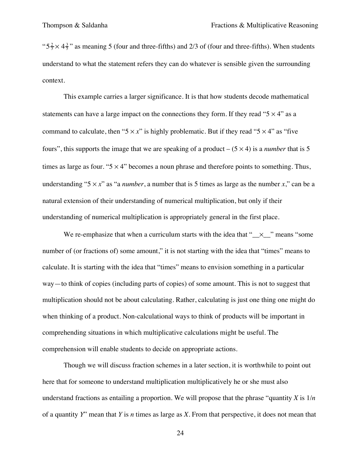" $5\frac{2}{3} \times 4\frac{3}{5}$ " as meaning 5 (four and three-fifths) and 2/3 of (four and three-fifths). When students understand to what the statement refers they can do whatever is sensible given the surrounding context.

This example carries a larger significance. It is that how students decode mathematical statements can have a large impact on the connections they form. If they read " $5 \times 4$ " as a command to calculate, then " $5 \times x$ " is highly problematic. But if they read " $5 \times 4$ " as "five fours", this supports the image that we are speaking of a product  $-(5 \times 4)$  is a *number* that is 5 times as large as four. " $5 \times 4$ " becomes a noun phrase and therefore points to something. Thus, understanding " $5 \times x$ " as "a *number*, a number that is 5 times as large as the number *x*," can be a natural extension of their understanding of numerical multiplication, but only if their understanding of numerical multiplication is appropriately general in the first place.

We re-emphasize that when a curriculum starts with the idea that " $\times$ " means "some number of (or fractions of) some amount," it is not starting with the idea that "times" means to calculate. It is starting with the idea that "times" means to envision something in a particular way—to think of copies (including parts of copies) of some amount. This is not to suggest that multiplication should not be about calculating. Rather, calculating is just one thing one might do when thinking of a product. Non-calculational ways to think of products will be important in comprehending situations in which multiplicative calculations might be useful. The comprehension will enable students to decide on appropriate actions.

Though we will discuss fraction schemes in a later section, it is worthwhile to point out here that for someone to understand multiplication multiplicatively he or she must also understand fractions as entailing a proportion. We will propose that the phrase "quantity *X* is 1/*n* of a quantity *Y*" mean that *Y* is *n* times as large as *X*. From that perspective, it does not mean that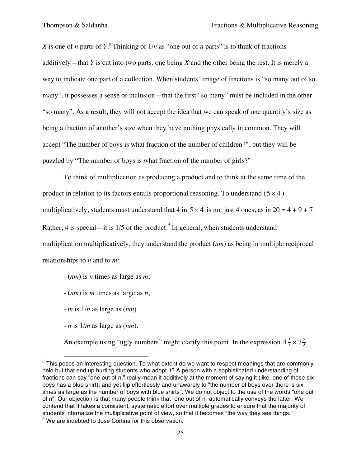*X* is one of *n* parts of  $Y$ .<sup>8</sup> Thinking of  $1/n$  as "one out of *n* parts" is to think of fractions additively—that *Y* is cut into two parts, one being *X* and the other being the rest. It is merely a way to indicate one part of a collection. When students' image of fractions is "so many out of so many", it possesses a sense of inclusion—that the first "so many" must be included in the other "so many". As a result, they will not accept the idea that we can speak of one quantity's size as being a fraction of another's size when they have nothing physically in common. They will accept "The number of boys is what fraction of the number of children?", but they will be puzzled by "The number of boys is what fraction of the number of girls?"

To think of multiplication as producing a product and to think at the same time of the product in relation to its factors entails proportional reasoning. To understand  $(5 \times 4)$ multiplicatively, students must understand that 4 in  $5 \times 4$  is not just 4 ones, as in  $20 = 4 + 9 + 7$ . Rather, 4 is special—it is  $1/5$  of the product.<sup>9</sup> In general, when students understand multiplication multiplicatively, they understand the product (*nm*) as being in multiple reciprocal relationships to *n* and to *m*:

- (*nm*) is *n* times as large as *m*,
- (*nm*) is *m* times as large as *n*,
- *m* is 1/*n* as large as (*nm*)
- *n* is 1/*m* as large as (*nm*).

An example using "ugly numbers" might clarify this point. In the expression  $4\frac{3}{7}\times7\frac{2}{3}$ 

<sup>&</sup>lt;sup>8</sup> This poses an interesting question. To what extent do we want to respect meanings that are commonly held but that end up hurting students who adopt it? A person with a sophisticated understanding of fractions can say "one out of n," really mean it additively at the moment of saying it (like, one of those six boys has a blue shirt), and yet flip effortlessly and unawarely to "the number of boys over there is six times as large as the number of boys with blue shirts". We do not object to the use of the words "one out of n". Our objection is that many people think that "one out of n" automatically conveys the latter. We contend that it takes a consistent, systematic effort over multiple grades to ensure that the majority of students internalize the multiplicative point of view, so that it becomes "the way they see things."  $9$  We are indebted to Jose Cortina for this observation.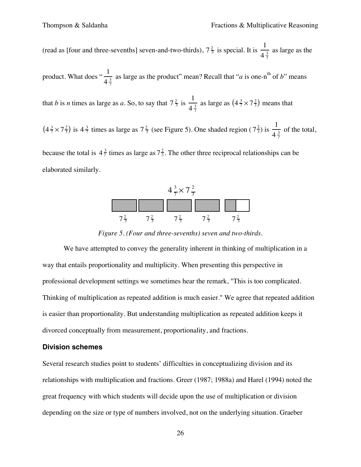(read as [four and three-sevenths] seven-and-two-thirds),  $7\frac{2}{3}$  is special. It is  $\frac{1}{4}$  $4\frac{3}{7}$ as large as the

product. What does " $\frac{1}{11}$ "  $4\frac{3}{7}$ as large as the product" mean? Recall that " $a$  is one-n<sup>th</sup> of  $b$ " means

that *b* is *n* times as large as *a*. So, to say that  $7\frac{2}{3}$  is  $\frac{1}{4}$  $4\frac{3}{7}$ as large as  $(4\frac{3}{7} \times 7\frac{2}{3})$  means that

 $(4\frac{3}{7}\times7\frac{2}{3})$  is  $4\frac{3}{7}$  times as large as  $7\frac{2}{3}$  (see Figure 5). One shaded region  $(7\frac{2}{3})$  is  $\frac{1}{4\frac{3}{2}}$  $4\frac{3}{7}$ of the total,

because the total is  $4\frac{3}{7}$  times as large as  $7\frac{2}{3}$ . The other three reciprocal relationships can be elaborated similarly.



 $\overline{a}$ *Figure 5. (Four and three-sevenths) seven and two-thirds.*

We have attempted to convey the generality inherent in thinking of multiplication in a way that entails proportionality and multiplicity. When presenting this perspective in professional development settings we sometimes hear the remark, "This is too complicated. Thinking of multiplication as repeated addition is much easier." We agree that repeated addition is easier than proportionality. But understanding multiplication as repeated addition keeps it divorced conceptually from measurement, proportionality, and fractions.

### **Division schemes**

Several research studies point to students' difficulties in conceptualizing division and its relationships with multiplication and fractions. Greer (1987; 1988a) and Harel (1994) noted the great frequency with which students will decide upon the use of multiplication or division depending on the size or type of numbers involved, not on the underlying situation. Graeber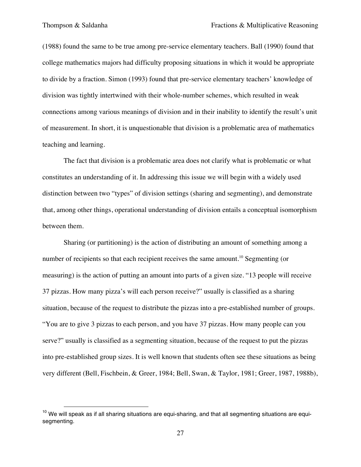(1988) found the same to be true among pre-service elementary teachers. Ball (1990) found that college mathematics majors had difficulty proposing situations in which it would be appropriate to divide by a fraction. Simon (1993) found that pre-service elementary teachers' knowledge of division was tightly intertwined with their whole-number schemes, which resulted in weak connections among various meanings of division and in their inability to identify the result's unit of measurement. In short, it is unquestionable that division is a problematic area of mathematics teaching and learning.

The fact that division is a problematic area does not clarify what is problematic or what constitutes an understanding of it. In addressing this issue we will begin with a widely used distinction between two "types" of division settings (sharing and segmenting), and demonstrate that, among other things, operational understanding of division entails a conceptual isomorphism between them.

Sharing (or partitioning) is the action of distributing an amount of something among a number of recipients so that each recipient receives the same amount.<sup>10</sup> Segmenting (or measuring) is the action of putting an amount into parts of a given size. "13 people will receive 37 pizzas. How many pizza's will each person receive?" usually is classified as a sharing situation, because of the request to distribute the pizzas into a pre-established number of groups. "You are to give 3 pizzas to each person, and you have 37 pizzas. How many people can you serve?" usually is classified as a segmenting situation, because of the request to put the pizzas into pre-established group sizes. It is well known that students often see these situations as being very different (Bell, Fischbein, & Greer, 1984; Bell, Swan, & Taylor, 1981; Greer, 1987, 1988b),

 $10$  We will speak as if all sharing situations are equi-sharing, and that all segmenting situations are equisegmenting.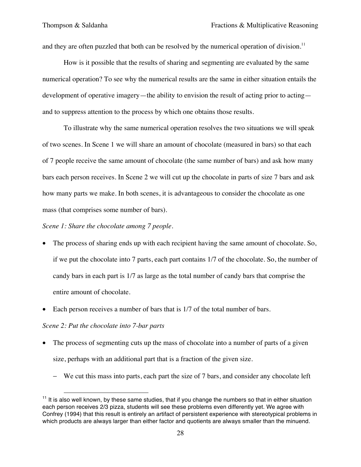and they are often puzzled that both can be resolved by the numerical operation of division.<sup>11</sup>

How is it possible that the results of sharing and segmenting are evaluated by the same numerical operation? To see why the numerical results are the same in either situation entails the development of operative imagery—the ability to envision the result of acting prior to acting and to suppress attention to the process by which one obtains those results.

To illustrate why the same numerical operation resolves the two situations we will speak of two scenes. In Scene 1 we will share an amount of chocolate (measured in bars) so that each of 7 people receive the same amount of chocolate (the same number of bars) and ask how many bars each person receives. In Scene 2 we will cut up the chocolate in parts of size 7 bars and ask how many parts we make. In both scenes, it is advantageous to consider the chocolate as one mass (that comprises some number of bars).

### *Scene 1: Share the chocolate among 7 people.*

- The process of sharing ends up with each recipient having the same amount of chocolate. So, if we put the chocolate into 7 parts, each part contains 1/7 of the chocolate. So, the number of candy bars in each part is 1/7 as large as the total number of candy bars that comprise the entire amount of chocolate.
- Each person receives a number of bars that is  $1/7$  of the total number of bars.

### *Scene 2: Put the chocolate into 7-bar parts*

- The process of segmenting cuts up the mass of chocolate into a number of parts of a given size, perhaps with an additional part that is a fraction of the given size.
	- − We cut this mass into parts, each part the size of 7 bars, and consider any chocolate left

 $11$  It is also well known, by these same studies, that if you change the numbers so that in either situation each person receives 2/3 pizza, students will see these problems even differently yet. We agree with Confrey (1994) that this result is entirely an artifact of persistent experience with stereotypical problems in which products are always larger than either factor and quotients are always smaller than the minuend.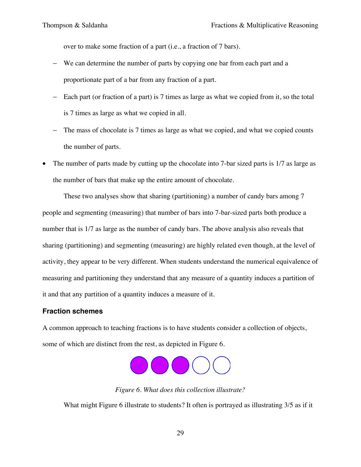over to make some fraction of a part (i.e., a fraction of 7 bars).

- − We can determine the number of parts by copying one bar from each part and a proportionate part of a bar from any fraction of a part.
- − Each part (or fraction of a part) is 7 times as large as what we copied from it, so the total is 7 times as large as what we copied in all.
- − The mass of chocolate is 7 times as large as what we copied, and what we copied counts the number of parts.
- The number of parts made by cutting up the chocolate into 7-bar sized parts is 1/7 as large as the number of bars that make up the entire amount of chocolate.

These two analyses show that sharing (partitioning) a number of candy bars among 7 people and segmenting (measuring) that number of bars into 7-bar-sized parts both produce a number that is 1/7 as large as the number of candy bars. The above analysis also reveals that sharing (partitioning) and segmenting (measuring) are highly related even though, at the level of activity, they appear to be very different. When students understand the numerical equivalence of measuring and partitioning they understand that any measure of a quantity induces a partition of it and that any partition of a quantity induces a measure of it.

# **Fraction schemes**

A common approach to teaching fractions is to have students consider a collection of objects, some of which are distinct from the rest, as depicted in Figure 6.



*Figure 6. What does this collection illustrate?*

What might Figure 6 illustrate to students? It often is portrayed as illustrating 3/5 as if it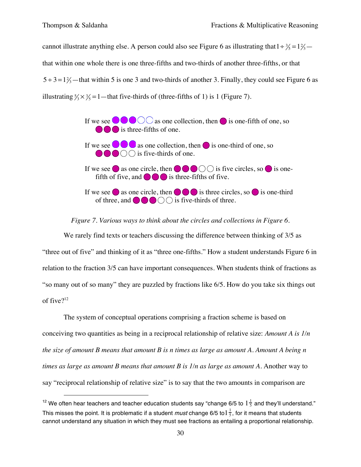$\overline{a}$ 

cannot illustrate anything else. A person could also see Figure 6 as illustrating that  $1 \div \frac{3}{5} = 1\frac{2}{5} - 1$  $5 \div 3 = 1\frac{3}{3}$  — that within 5 is one 3 and two-thirds of another 3. Finally, they could see Figure 6 as that within one whole there is one three-fifths and two-thirds of another three-fifths, or that illustrating  $\frac{5}{3} \times \frac{3}{5} = 1$  — that five-thirds of (three-fifths of 1) is 1 (Figure 7).



#### *Figure 7. Various ways to think about the circles and collections in Figure 6.*

We rarely find texts or teachers discussing the difference between thinking of 3/5 as "three out of five" and thinking of it as "three one-fifths." How a student understands Figure 6 in relation to the fraction 3/5 can have important consequences. When students think of fractions as "so many out of so many" they are puzzled by fractions like 6/5. How do you take six things out of five $2^{12}$ 

The system of conceptual operations comprising a fraction scheme is based on conceiving two quantities as being in a reciprocal relationship of relative size: *Amount A is 1/n the size of amount B means that amount B is n times as large as amount A. Amount A being n times as large as amount B means that amount B is 1/n as large as amount A*. Another way to say "reciprocal relationship of relative size" is to say that the two amounts in comparison are

<sup>&</sup>lt;sup>12</sup> We often hear teachers and teacher education students say "change 6/5 to  $1\frac{1}{5}$  and they'll understand." This misses the point. It is problematic if a student *must* change 6/5 to $1\frac{1}{5}$ , for it means that students cannot understand any situation in which they must see fractions as entailing a proportional relationship.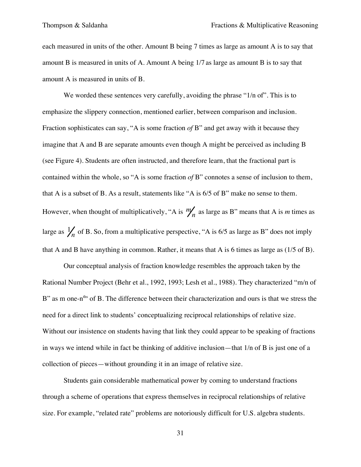each measured in units of the other. Amount B being 7 times as large as amount A is to say that amount B is measured in units of A. Amount A being 1/7 as large as amount B is to say that amount A is measured in units of B.

We worded these sentences very carefully, avoiding the phrase "1/n of". This is to emphasize the slippery connection, mentioned earlier, between comparison and inclusion. Fraction sophisticates can say, "A is some fraction *of* B" and get away with it because they imagine that A and B are separate amounts even though A might be perceived as including B (see Figure 4). Students are often instructed, and therefore learn, that the fractional part is contained within the whole, so "A is some fraction *of* B" connotes a sense of inclusion to them, that A is a subset of B. As a result, statements like "A is 6/5 of B" make no sense to them. However, when thought of multiplicatively, "A is  $m/n$  as large as B" means that A is *m* times as large as  $\frac{1}{n}$  of B. So, from a multiplicative perspective, "A is 6/5 as large as B" does not imply that A and B have anything in common. Rather, it means that A is 6 times as large as (1/5 of B).

Our conceptual analysis of fraction knowledge resembles the approach taken by the Rational Number Project (Behr et al., 1992, 1993; Lesh et al., 1988). They characterized "m/n of B" as m one-n<sup>ths</sup> of B. The difference between their characterization and ours is that we stress the need for a direct link to students' conceptualizing reciprocal relationships of relative size. Without our insistence on students having that link they could appear to be speaking of fractions in ways we intend while in fact be thinking of additive inclusion—that 1/n of B is just one of a collection of pieces—without grounding it in an image of relative size.

Students gain considerable mathematical power by coming to understand fractions through a scheme of operations that express themselves in reciprocal relationships of relative size. For example, "related rate" problems are notoriously difficult for U.S. algebra students.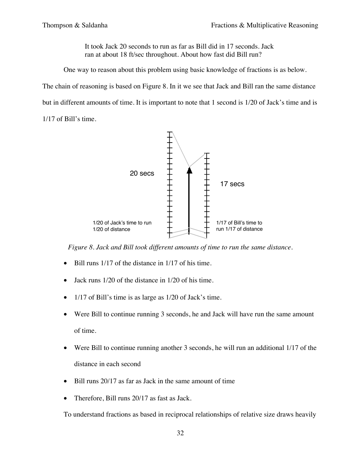It took Jack 20 seconds to run as far as Bill did in 17 seconds. Jack ran at about 18 ft/sec throughout. About how fast did Bill run?

One way to reason about this problem using basic knowledge of fractions is as below.

The chain of reasoning is based on Figure 8. In it we see that Jack and Bill ran the same distance

but in different amounts of time. It is important to note that 1 second is 1/20 of Jack's time and is

1/17 of Bill's time.



*Figure 8. Jack and Bill took different amounts of time to run the same distance.*

- Bill runs 1/17 of the distance in 1/17 of his time.
- Jack runs 1/20 of the distance in 1/20 of his time.
- 1/17 of Bill's time is as large as 1/20 of Jack's time.
- Were Bill to continue running 3 seconds, he and Jack will have run the same amount of time.
- Were Bill to continue running another 3 seconds, he will run an additional 1/17 of the distance in each second
- Bill runs 20/17 as far as Jack in the same amount of time
- Therefore, Bill runs 20/17 as fast as Jack.

To understand fractions as based in reciprocal relationships of relative size draws heavily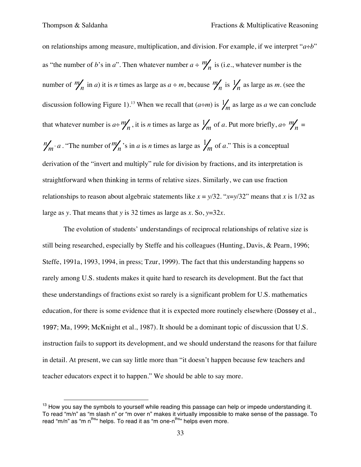on relationships among measure, multiplication, and division. For example, if we interpret "*a*÷*b*" as "the number of *b*'s in *a*". Then whatever number  $a \div m/n$  is (i.e., whatever number is the number of  $\frac{m}{n}$  in *a*) it is *n* times as large as  $a \div m$ , because  $\frac{m}{n}$  is  $\frac{1}{n}$  as large as *m*. (see the discussion following Figure 1).<sup>13</sup> When we recall that  $(a \div m)$  is  $\frac{1}{m}$  as large as *a* we can conclude that whatever number is  $a \div m'_n$ , it is *n* times as large as  $\frac{1}{m}$  of *a*. Put more briefly,  $a \div m'_n =$  $m/m \cdot a$ . "The number of  $m/n$  's in *a* is *n* times as large as  $\frac{1}{m}$  of *a*." This is a conceptual derivation of the "invert and multiply" rule for division by fractions, and its interpretation is straightforward when thinking in terms of relative sizes. Similarly, we can use fraction relationships to reason about algebraic statements like  $x = \frac{y}{32}$ . " $x = \frac{y}{32}$ " means that *x* is 1/32 as large as *y*. That means that *y* is 32 times as large as *x.* So, *y*=32*x*.

The evolution of students' understandings of reciprocal relationships of relative size is still being researched, especially by Steffe and his colleagues (Hunting, Davis, & Pearn, 1996; Steffe, 1991a, 1993, 1994, in press; Tzur, 1999). The fact that this understanding happens so rarely among U.S. students makes it quite hard to research its development. But the fact that these understandings of fractions exist so rarely is a significant problem for U.S. mathematics education, for there is some evidence that it is expected more routinely elsewhere (Dossey et al., 1997; Ma, 1999; McKnight et al., 1987). It should be a dominant topic of discussion that U.S. instruction fails to support its development, and we should understand the reasons for that failure in detail. At present, we can say little more than "it doesn't happen because few teachers and teacher educators expect it to happen." We should be able to say more.

 $13$  How you say the symbols to yourself while reading this passage can help or impede understanding it. To read "m/n" as "m slash n" or "m over n" makes it virtually impossible to make sense of the passage. To read "m/n" as "m n<sup>ths</sup>" helps. To read it as "m one-n<sup>ths</sup>" helps even more.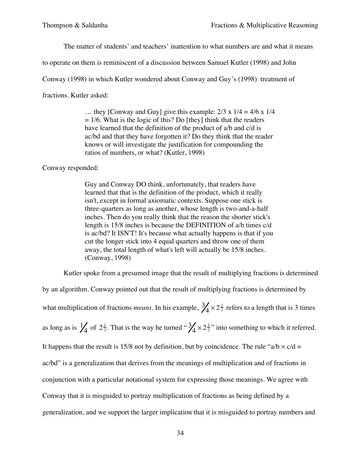The matter of students' and teachers' inattention to what numbers are and what it means

to operate on them is reminiscent of a discussion between Samuel Kutler (1998) and John

Conway (1998) in which Kutler wondered about Conway and Guy's (1998) treatment of

fractions. Kutler asked:

... they [Conway and Guy] give this example:  $2/3 \times 1/4 = 4/6 \times 1/4$  $= 1/6$ . What is the logic of this? Do [they] think that the readers have learned that the definition of the product of a/b and c/d is ac/bd and that they have forgotten it? Do they think that the reader knows or will investigate the justification for compounding the ratios of numbers, or what? (Kutler, 1998)

Conway responded:

Guy and Conway DO think, unfortunately, that readers have learned that that is the definition of the product, which it really isn't, except in formal axiomatic contexts. Suppose one stick is three-quarters as long as another, whose length is two-and-a-half inches. Then do you really think that the reason the shorter stick's length is 15/8 inches is because the DEFINITION of a/b times c/d is ac/bd? It ISN'T! It's because what actually happens is that if you cut the longer stick into 4 equal quarters and throw one of them away, the total length of what's left will actually be 15/8 inches. (Conway, 1998)

Kutler spoke from a presumed image that the result of multiplying fractions is determined

by an algorithm. Conway pointed out that the result of multiplying fractions is determined by what multiplication of fractions *means*. In his example,  $\frac{3}{4} \times 2\frac{1}{2}$  refers to a length that is 3 times as long as is  $\frac{1}{4}$  of  $2\frac{1}{2}$ . That is the way he turned " $\frac{3}{4} \times 2\frac{1}{2}$ " into something to which it referred. It happens that the result is 15/8 not by definition, but by coincidence. The rule "a/b  $\times$  c/d = ac/bd" is a generalization that derives from the meanings of multiplication and of fractions in conjunction with a particular notational system for expressing those meanings. We agree with Conway that it is misguided to portray multiplication of fractions as being defined by a generalization, and we support the larger implication that it is misguided to portray numbers and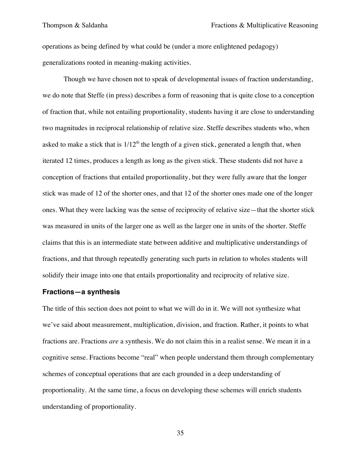operations as being defined by what could be (under a more enlightened pedagogy) generalizations rooted in meaning-making activities.

Though we have chosen not to speak of developmental issues of fraction understanding, we do note that Steffe (in press) describes a form of reasoning that is quite close to a conception of fraction that, while not entailing proportionality, students having it are close to understanding two magnitudes in reciprocal relationship of relative size. Steffe describes students who, when asked to make a stick that is  $1/12<sup>th</sup>$  the length of a given stick, generated a length that, when iterated 12 times, produces a length as long as the given stick. These students did not have a conception of fractions that entailed proportionality, but they were fully aware that the longer stick was made of 12 of the shorter ones, and that 12 of the shorter ones made one of the longer ones. What they were lacking was the sense of reciprocity of relative size—that the shorter stick was measured in units of the larger one as well as the larger one in units of the shorter. Steffe claims that this is an intermediate state between additive and multiplicative understandings of fractions, and that through repeatedly generating such parts in relation to wholes students will solidify their image into one that entails proportionality and reciprocity of relative size.

#### **Fractions—a synthesis**

The title of this section does not point to what we will do in it. We will not synthesize what we've said about measurement, multiplication, division, and fraction. Rather, it points to what fractions are. Fractions *are* a synthesis. We do not claim this in a realist sense. We mean it in a cognitive sense. Fractions become "real" when people understand them through complementary schemes of conceptual operations that are each grounded in a deep understanding of proportionality. At the same time, a focus on developing these schemes will enrich students understanding of proportionality.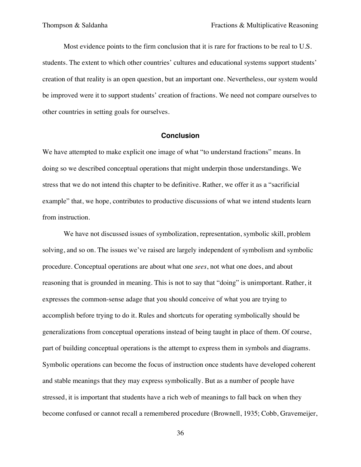Most evidence points to the firm conclusion that it is rare for fractions to be real to U.S. students. The extent to which other countries' cultures and educational systems support students' creation of that reality is an open question, but an important one. Nevertheless, our system would be improved were it to support students' creation of fractions. We need not compare ourselves to other countries in setting goals for ourselves.

#### **Conclusion**

We have attempted to make explicit one image of what "to understand fractions" means. In doing so we described conceptual operations that might underpin those understandings. We stress that we do not intend this chapter to be definitive. Rather, we offer it as a "sacrificial example" that, we hope, contributes to productive discussions of what we intend students learn from instruction.

We have not discussed issues of symbolization, representation, symbolic skill, problem solving, and so on. The issues we've raised are largely independent of symbolism and symbolic procedure. Conceptual operations are about what one *sees*, not what one does, and about reasoning that is grounded in meaning. This is not to say that "doing" is unimportant. Rather, it expresses the common-sense adage that you should conceive of what you are trying to accomplish before trying to do it. Rules and shortcuts for operating symbolically should be generalizations from conceptual operations instead of being taught in place of them. Of course, part of building conceptual operations is the attempt to express them in symbols and diagrams. Symbolic operations can become the focus of instruction once students have developed coherent and stable meanings that they may express symbolically. But as a number of people have stressed, it is important that students have a rich web of meanings to fall back on when they become confused or cannot recall a remembered procedure (Brownell, 1935; Cobb, Gravemeijer,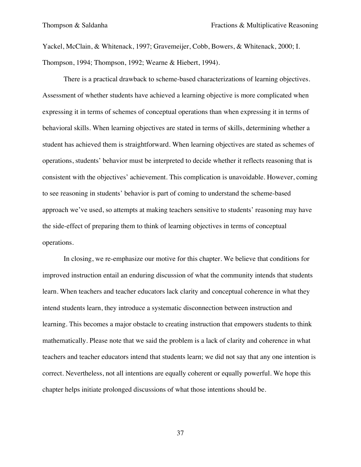Yackel, McClain, & Whitenack, 1997; Gravemeijer, Cobb, Bowers, & Whitenack, 2000; I. Thompson, 1994; Thompson, 1992; Wearne & Hiebert, 1994).

There is a practical drawback to scheme-based characterizations of learning objectives. Assessment of whether students have achieved a learning objective is more complicated when expressing it in terms of schemes of conceptual operations than when expressing it in terms of behavioral skills. When learning objectives are stated in terms of skills, determining whether a student has achieved them is straightforward. When learning objectives are stated as schemes of operations, students' behavior must be interpreted to decide whether it reflects reasoning that is consistent with the objectives' achievement. This complication is unavoidable. However, coming to see reasoning in students' behavior is part of coming to understand the scheme-based approach we've used, so attempts at making teachers sensitive to students' reasoning may have the side-effect of preparing them to think of learning objectives in terms of conceptual operations.

In closing, we re-emphasize our motive for this chapter. We believe that conditions for improved instruction entail an enduring discussion of what the community intends that students learn. When teachers and teacher educators lack clarity and conceptual coherence in what they intend students learn, they introduce a systematic disconnection between instruction and learning. This becomes a major obstacle to creating instruction that empowers students to think mathematically. Please note that we said the problem is a lack of clarity and coherence in what teachers and teacher educators intend that students learn; we did not say that any one intention is correct. Nevertheless, not all intentions are equally coherent or equally powerful. We hope this chapter helps initiate prolonged discussions of what those intentions should be.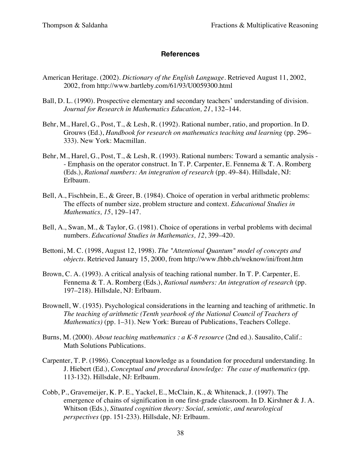### **References**

- American Heritage. (2002). *Dictionary of the English Language*. Retrieved August 11, 2002, 2002, from http://www.bartleby.com/61/93/U0059300.html
- Ball, D. L. (1990). Prospective elementary and secondary teachers' understanding of division. *Journal for Research in Mathematics Education, 21*, 132–144.
- Behr, M., Harel, G., Post, T., & Lesh, R. (1992). Rational number, ratio, and proportion. In D. Grouws (Ed.), *Handbook for research on mathematics teaching and learning* (pp. 296– 333). New York: Macmillan.
- Behr, M., Harel, G., Post, T., & Lesh, R. (1993). Rational numbers: Toward a semantic analysis - Emphasis on the operator construct. In T. P. Carpenter, E. Fennema & T. A. Romberg (Eds.), *Rational numbers: An integration of research* (pp. 49–84). Hillsdale, NJ: Erlbaum.
- Bell, A., Fischbein, E., & Greer, B. (1984). Choice of operation in verbal arithmetic problems: The effects of number size, problem structure and context. *Educational Studies in Mathematics, 15*, 129–147.
- Bell, A., Swan, M., & Taylor, G. (1981). Choice of operations in verbal problems with decimal numbers. *Educational Studies in Mathematics, 12*, 399–420.
- Bettoni, M. C. (1998, August 12, 1998). *The "Attentional Quantum" model of concepts and objects*. Retrieved January 15, 2000, from http://www.fhbb.ch/weknow/ini/front.htm
- Brown, C. A. (1993). A critical analysis of teaching rational number. In T. P. Carpenter, E. Fennema & T. A. Romberg (Eds.), *Rational numbers: An integration of research* (pp. 197–218). Hillsdale, NJ: Erlbaum.
- Brownell, W. (1935). Psychological considerations in the learning and teaching of arithmetic. In *The teaching of arithmetic (Tenth yearbook of the National Council of Teachers of Mathematics)* (pp. 1–31). New York: Bureau of Publications, Teachers College.
- Burns, M. (2000). *About teaching mathematics : a K-8 resource* (2nd ed.). Sausalito, Calif.: Math Solutions Publications.
- Carpenter, T. P. (1986). Conceptual knowledge as a foundation for procedural understanding. In J. Hiebert (Ed.), *Conceptual and procedural knowledge: The case of mathematics* (pp. 113-132). Hillsdale, NJ: Erlbaum.
- Cobb, P., Gravemeijer, K. P. E., Yackel, E., McClain, K., & Whitenack, J. (1997). The emergence of chains of signification in one first-grade classroom. In D. Kirshner & J. A. Whitson (Eds.), *Situated cognition theory: Social, semiotic, and neurological perspectives* (pp. 151-233). Hillsdale, NJ: Erlbaum.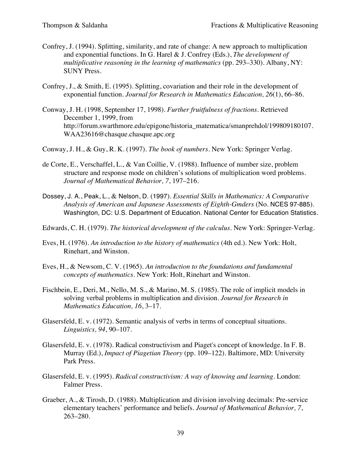- Confrey, J. (1994). Splitting, similarity, and rate of change: A new approach to multiplication and exponential functions. In G. Harel & J. Confrey (Eds.), *The development of multiplicative reasoning in the learning of mathematics* (pp. 293–330). Albany, NY: SUNY Press.
- Confrey, J., & Smith, E. (1995). Splitting, covariation and their role in the development of exponential function. *Journal for Research in Mathematics Education, 26*(1), 66–86.
- Conway, J. H. (1998, September 17, 1998). *Further fruitfulness of fractions*. Retrieved December 1, 1999, from http://forum.swarthmore.edu/epigone/historia\_matematica/smanprehdol/199809180107. WAA23616@chasque.chasque.apc.org
- Conway, J. H., & Guy, R. K. (1997). *The book of numbers*. New York: Springer Verlag.
- de Corte, E., Verschaffel, L., & Van Coillie, V. (1988). Influence of number size, problem structure and response mode on children's solutions of multiplication word problems. *Journal of Mathematical Behavior, 7*, 197–216.
- Dossey, J. A., Peak, L., & Nelson, D. (1997). *Essential Skills in Mathematics: A Comparative Analysis of American and Japanese Assessments of Eighth-Gmders* (No. NCES 97-885). Washington, DC: U.S. Department of Education. National Center for Education Statistics.
- Edwards, C. H. (1979). *The historical development of the calculus*. New York: Springer-Verlag.
- Eves, H. (1976). *An introduction to the history of mathematics* (4th ed.). New York: Holt, Rinehart, and Winston.
- Eves, H., & Newsom, C. V. (1965). *An introduction to the foundations and fundamental concepts of mathematics*. New York: Holt, Rinehart and Winston.
- Fischbein, E., Deri, M., Nello, M. S., & Marino, M. S. (1985). The role of implicit models in solving verbal problems in multiplication and division. *Journal for Research in Mathematics Education, 16*, 3–17.
- Glasersfeld, E. v. (1972). Semantic analysis of verbs in terms of conceptual situations. *Linguistics, 94*, 90–107.
- Glasersfeld, E. v. (1978). Radical constructivism and Piaget's concept of knowledge. In F. B. Murray (Ed.), *Impact of Piagetian Theory* (pp. 109–122). Baltimore, MD: University Park Press.
- Glasersfeld, E. v. (1995). *Radical constructivism: A way of knowing and learning*. London: Falmer Press.
- Graeber, A., & Tirosh, D. (1988). Multiplication and division involving decimals: Pre-service elementary teachers' performance and beliefs. *Journal of Mathematical Behavior, 7*, 263–280.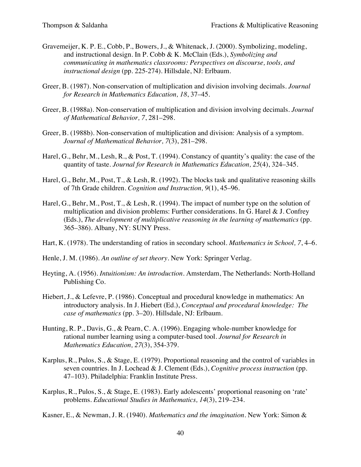- Gravemeijer, K. P. E., Cobb, P., Bowers, J., & Whitenack, J. (2000). Symbolizing, modeling, and instructional design. In P. Cobb & K. McClain (Eds.), *Symbolizing and communicating in mathematics classrooms: Perspectives on discourse, tools, and instructional design* (pp. 225-274). Hillsdale, NJ: Erlbaum.
- Greer, B. (1987). Non-conservation of multiplication and division involving decimals. *Journal for Research in Mathematics Education, 18*, 37–45.
- Greer, B. (1988a). Non-conservation of multiplication and division involving decimals. *Journal of Mathematical Behavior, 7*, 281–298.
- Greer, B. (1988b). Non-conservation of multiplication and division: Analysis of a symptom. *Journal of Mathematical Behavior, 7*(3), 281–298.
- Harel, G., Behr, M., Lesh, R., & Post, T. (1994). Constancy of quantity's quality: the case of the quantity of taste. *Journal for Research in Mathematics Education, 25*(4), 324–345.
- Harel, G., Behr, M., Post, T., & Lesh, R. (1992). The blocks task and qualitative reasoning skills of 7th Grade children. *Cognition and Instruction, 9*(1), 45–96.
- Harel, G., Behr, M., Post, T., & Lesh, R. (1994). The impact of number type on the solution of multiplication and division problems: Further considerations. In G. Harel & J. Confrey (Eds.), *The development of multiplicative reasoning in the learning of mathematics* (pp. 365–386). Albany, NY: SUNY Press.
- Hart, K. (1978). The understanding of ratios in secondary school. *Mathematics in School, 7*, 4–6.
- Henle, J. M. (1986). *An outline of set theory*. New York: Springer Verlag.
- Heyting, A. (1956). *Intuitionism: An introduction*. Amsterdam, The Netherlands: North-Holland Publishing Co.
- Hiebert, J., & Lefevre, P. (1986). Conceptual and procedural knowledge in mathematics: An introductory analysis. In J. Hiebert (Ed.), *Conceptual and procedural knowledge: The case of mathematics* (pp. 3–20). Hillsdale, NJ: Erlbaum.
- Hunting, R. P., Davis, G., & Pearn, C. A. (1996). Engaging whole-number knowledge for rational number learning using a computer-based tool. *Journal for Research in Mathematics Education, 27*(3), 354-379.
- Karplus, R., Pulos, S., & Stage, E. (1979). Proportional reasoning and the control of variables in seven countries. In J. Lochead & J. Clement (Eds.), *Cognitive process instruction* (pp. 47–103). Philadelphia: Franklin Institute Press.
- Karplus, R., Pulos, S., & Stage, E. (1983). Early adolescents' proportional reasoning on 'rate' problems. *Educational Studies in Mathematics, 14*(3), 219–234.

Kasner, E., & Newman, J. R. (1940). *Mathematics and the imagination*. New York: Simon &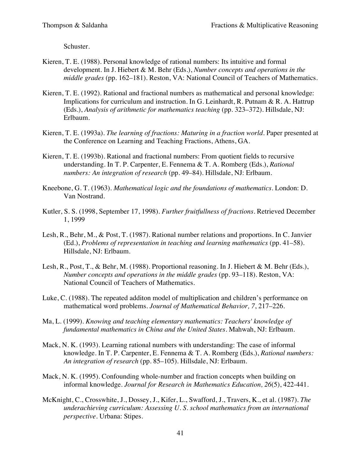Schuster.

- Kieren, T. E. (1988). Personal knowledge of rational numbers: Its intuitive and formal development. In J. Hiebert & M. Behr (Eds.), *Number concepts and operations in the middle grades* (pp. 162–181). Reston, VA: National Council of Teachers of Mathematics.
- Kieren, T. E. (1992). Rational and fractional numbers as mathematical and personal knowledge: Implications for curriculum and instruction. In G. Leinhardt, R. Putnam & R. A. Hattrup (Eds.), *Analysis of arithmetic for mathematics teaching* (pp. 323–372). Hillsdale, NJ: Erlbaum.
- Kieren, T. E. (1993a). *The learning of fractions: Maturing in a fraction world.* Paper presented at the Conference on Learning and Teaching Fractions, Athens, GA.
- Kieren, T. E. (1993b). Rational and fractional numbers: From quotient fields to recursive understanding. In T. P. Carpenter, E. Fennema & T. A. Romberg (Eds.), *Rational numbers: An integration of research* (pp. 49–84). Hillsdale, NJ: Erlbaum.
- Kneebone, G. T. (1963). *Mathematical logic and the foundations of mathematics*. London: D. Van Nostrand.
- Kutler, S. S. (1998, September 17, 1998). *Further fruitfullness of fractions*. Retrieved December 1, 1999
- Lesh, R., Behr, M., & Post, T. (1987). Rational number relations and proportions. In C. Janvier (Ed.), *Problems of representation in teaching and learning mathematics* (pp. 41–58). Hillsdale, NJ: Erlbaum.
- Lesh, R., Post, T., & Behr, M. (1988). Proportional reasoning. In J. Hiebert & M. Behr (Eds.), *Number concepts and operations in the middle grades* (pp. 93–118). Reston, VA: National Council of Teachers of Mathematics.
- Luke, C. (1988). The repeated additon model of multiplication and children's performance on mathematical word problems. *Journal of Mathematical Behavior, 7*, 217–226.
- Ma, L. (1999). *Knowing and teaching elementary mathematics: Teachers' knowledge of fundamental mathematics in China and the United States*. Mahwah, NJ: Erlbaum.
- Mack, N. K. (1993). Learning rational numbers with understanding: The case of informal knowledge. In T. P. Carpenter, E. Fennema & T. A. Romberg (Eds.), *Rational numbers: An integration of research* (pp. 85–105). Hillsdale, NJ: Erlbaum.
- Mack, N. K. (1995). Confounding whole-number and fraction concepts when building on informal knowledge. *Journal for Research in Mathematics Education, 26*(5), 422-441.
- McKnight, C., Crosswhite, J., Dossey, J., Kifer, L., Swafford, J., Travers, K., et al. (1987). *The underachieving curriculum: Assessing U. S. school mathematics from an international perspective*. Urbana: Stipes.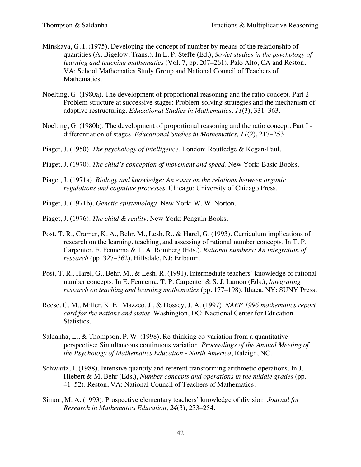- Minskaya, G. I. (1975). Developing the concept of number by means of the relationship of quantities (A. Bigelow, Trans.). In L. P. Steffe (Ed.), *Soviet studies in the psychology of learning and teaching mathematics* (Vol. 7, pp. 207–261). Palo Alto, CA and Reston, VA: School Mathematics Study Group and National Council of Teachers of Mathematics.
- Noelting, G. (1980a). The development of proportional reasoning and the ratio concept. Part 2 Problem structure at successive stages: Problem-solving strategies and the mechanism of adaptive restructuring. *Educational Studies in Mathematics, 11*(3), 331–363.
- Noelting, G. (1980b). The development of proportional reasoning and the ratio concept. Part I differentiation of stages. *Educational Studies in Mathematics, 11*(2), 217–253.
- Piaget, J. (1950). *The psychology of intelligence*. London: Routledge & Kegan-Paul.
- Piaget, J. (1970). *The child's conception of movement and speed*. New York: Basic Books.
- Piaget, J. (1971a). *Biology and knowledge: An essay on the relations between organic regulations and cognitive processes*. Chicago: University of Chicago Press.
- Piaget, J. (1971b). *Genetic epistemology*. New York: W. W. Norton.
- Piaget, J. (1976). *The child & reality*. New York: Penguin Books.
- Post, T. R., Cramer, K. A., Behr, M., Lesh, R., & Harel, G. (1993). Curriculum implications of research on the learning, teaching, and assessing of rational number concepts. In T. P. Carpenter, E. Fennema & T. A. Romberg (Eds.), *Rational numbers: An integration of research* (pp. 327–362). Hillsdale, NJ: Erlbaum.
- Post, T. R., Harel, G., Behr, M., & Lesh, R. (1991). Intermediate teachers' knowledge of rational number concepts. In E. Fennema, T. P. Carpenter & S. J. Lamon (Eds.), *Integrating research on teaching and learning mathematics* (pp. 177–198). Ithaca, NY: SUNY Press.
- Reese, C. M., Miller, K. E., Mazzeo, J., & Dossey, J. A. (1997). *NAEP 1996 mathematics report card for the nations and states*. Washington, DC: Nactional Center for Education Statistics.
- Saldanha, L., & Thompson, P. W. (1998). Re-thinking co-variation from a quantitative perspective: Simultaneous continuous variation*. Proceedings of the Annual Meeting of the Psychology of Mathematics Education - North America*, Raleigh, NC.
- Schwartz, J. (1988). Intensive quantity and referent transforming arithmetic operations. In J. Hiebert & M. Behr (Eds.), *Number concepts and operations in the middle grades* (pp. 41–52). Reston, VA: National Council of Teachers of Mathematics.
- Simon, M. A. (1993). Prospective elementary teachers' knowledge of division. *Journal for Research in Mathematics Education, 24*(3), 233–254.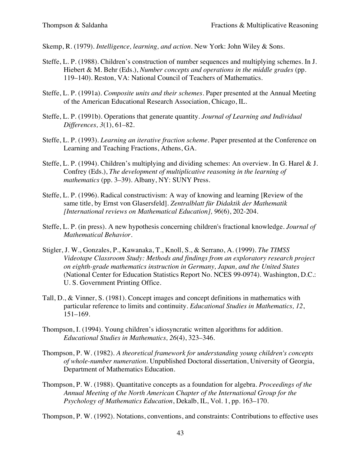- Skemp, R. (1979). *Intelligence, learning, and action*. New York: John Wiley & Sons.
- Steffe, L. P. (1988). Children's construction of number sequences and multiplying schemes. In J. Hiebert & M. Behr (Eds.), *Number concepts and operations in the middle grades* (pp. 119–140). Reston, VA: National Council of Teachers of Mathematics.
- Steffe, L. P. (1991a). *Composite units and their schemes.* Paper presented at the Annual Meeting of the American Educational Research Association, Chicago, IL.
- Steffe, L. P. (1991b). Operations that generate quantity. *Journal of Learning and Individual Differences, 3*(1), 61–82.
- Steffe, L. P. (1993). *Learning an iterative fraction scheme.* Paper presented at the Conference on Learning and Teaching Fractions, Athens, GA.
- Steffe, L. P. (1994). Children's multiplying and dividing schemes: An overview. In G. Harel & J. Confrey (Eds.), *The development of multiplicative reasoning in the learning of mathematics* (pp. 3–39). Albany, NY: SUNY Press.
- Steffe, L. P. (1996). Radical constructivism: A way of knowing and learning [Review of the same title, by Ernst von Glasersfeld]. *Zentralblatt für Didaktik der Mathematik [International reviews on Mathematical Education], 96*(6), 202-204.
- Steffe, L. P. (in press). A new hypothesis concerning children's fractional knowledge. *Journal of Mathematical Behavior*.
- Stigler, J. W., Gonzales, P., Kawanaka, T., Knoll, S., & Serrano, A. (1999). *The TIMSS Videotape Classroom Study: Methods and findings from an exploratory research project on eighth-grade mathematics instruction in Germany, Japan, and the United States* (National Center for Education Statistics Report No. NCES 99-0974). Washington, D.C.: U. S. Government Printing Office.
- Tall, D., & Vinner, S. (1981). Concept images and concept definitions in mathematics with particular reference to limits and continuity. *Educational Studies in Mathematics, 12*, 151–169.
- Thompson, I. (1994). Young children's idiosyncratic written algorithms for addition. *Educational Studies in Mathematics, 26*(4), 323–346.
- Thompson, P. W. (1982). *A theoretical framework for understanding young children's concepts of whole-number numeration.* Unpublished Doctoral dissertation, University of Georgia, Department of Mathematics Education.
- Thompson, P. W. (1988). Quantitative concepts as a foundation for algebra*. Proceedings of the Annual Meeting of the North American Chapter of the International Group for the Psychology of Mathematics Education*, Dekalb, IL, Vol. 1, pp. 163–170.

Thompson, P. W. (1992). Notations, conventions, and constraints: Contributions to effective uses